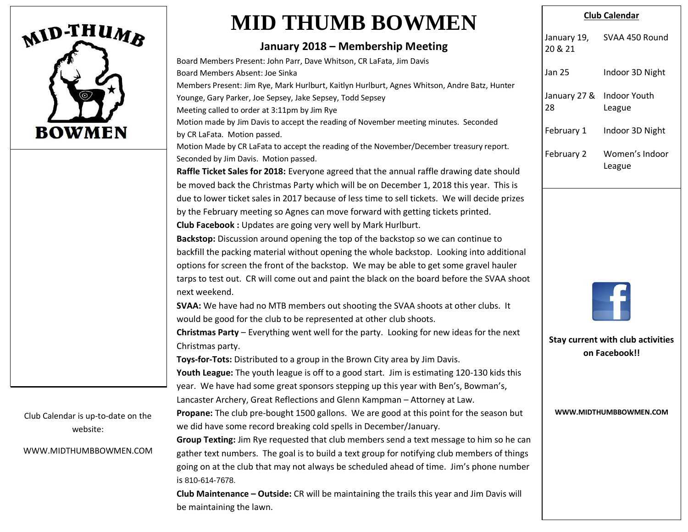

Club Calendar is up-to-date on the website:

WWW.MIDTHUMBBOWMEN.COM

## **MID THUMB BOWMEN**

## **January 2018 – Membership Meeting**

| Board Members Present: John Parr, Dave Whitson, CR LaFata, Jim Davis                                                                                      |  |  |
|-----------------------------------------------------------------------------------------------------------------------------------------------------------|--|--|
| Board Members Absent: Joe Sinka                                                                                                                           |  |  |
| Members Present: Jim Rye, Mark Hurlburt, Kaitlyn Hurlburt, Agnes Whitson, Andre Batz, Hunter<br>Younge, Gary Parker, Joe Sepsey, Jake Sepsey, Todd Sepsey |  |  |
| Meeting called to order at 3:11pm by Jim Rye                                                                                                              |  |  |
| Motion made by Jim Davis to accept the reading of November meeting minutes. Seconded                                                                      |  |  |
| by CR LaFata. Motion passed.                                                                                                                              |  |  |
| Motion Made by CR LaFata to accept the reading of the November/December treasury report.                                                                  |  |  |
| Seconded by Jim Davis. Motion passed.                                                                                                                     |  |  |
| Raffle Ticket Sales for 2018: Everyone agreed that the annual raffle drawing date should                                                                  |  |  |
| be moved back the Christmas Party which will be on December 1, 2018 this year. This is                                                                    |  |  |
| due to lower ticket sales in 2017 because of less time to sell tickets. We will decide prizes                                                             |  |  |
| by the February meeting so Agnes can move forward with getting tickets printed.                                                                           |  |  |
| Club Facebook : Updates are going very well by Mark Hurlburt.                                                                                             |  |  |
| Backstop: Discussion around opening the top of the backstop so we can continue to                                                                         |  |  |
| backfill the packing material without opening the whole backstop. Looking into additional                                                                 |  |  |
| options for screen the front of the backstop. We may be able to get some gravel hauler                                                                    |  |  |
| tarps to test out. CR will come out and paint the black on the board before the SVAA shoot                                                                |  |  |
| next weekend.                                                                                                                                             |  |  |
| SVAA: We have had no MTB members out shooting the SVAA shoots at other clubs. It                                                                          |  |  |
| would be good for the club to be represented at other club shoots.                                                                                        |  |  |
| Christmas Party - Everything went well for the party. Looking for new ideas for the next                                                                  |  |  |
| Christmas party.                                                                                                                                          |  |  |
| Toys-for-Tots: Distributed to a group in the Brown City area by Jim Davis.                                                                                |  |  |
| Youth League: The youth league is off to a good start. Jim is estimating 120-130 kids this                                                                |  |  |
| year. We have had some great sponsors stepping up this year with Ben's, Bowman's,                                                                         |  |  |
| Lancaster Archery, Great Reflections and Glenn Kampman - Attorney at Law.                                                                                 |  |  |
| Propane: The club pre-bought 1500 gallons. We are good at this point for the season but                                                                   |  |  |
| we did have some record breaking cold spells in December/January.                                                                                         |  |  |
| Group Texting: Jim Rye requested that club members send a text message to him so he can                                                                   |  |  |
| gather text numbers. The goal is to build a text group for notifying club members of things                                                               |  |  |
| going on at the club that may not always be scheduled ahead of time. Jim's phone number                                                                   |  |  |
| is 810-614-7678.                                                                                                                                          |  |  |
|                                                                                                                                                           |  |  |

**Club Maintenance – Outside:** CR will be maintaining the trails this year and Jim Davis will be maintaining the lawn.

## **Club Calendar**

| January 19,<br>20 & 21                                                              | SVAA 450 Round                |  |
|-------------------------------------------------------------------------------------|-------------------------------|--|
| <b>Jan 25</b>                                                                       | Indoor 3D Night               |  |
| January 27 &<br>28                                                                  | <b>Indoor Youth</b><br>League |  |
| February 1                                                                          | Indoor 3D Night               |  |
| February 2                                                                          | Women's Indoor<br>League      |  |
| <b>Stay current with club activities</b><br>on Facebook!!<br>WWW.MIDTHUMBBOWMEN.COM |                               |  |